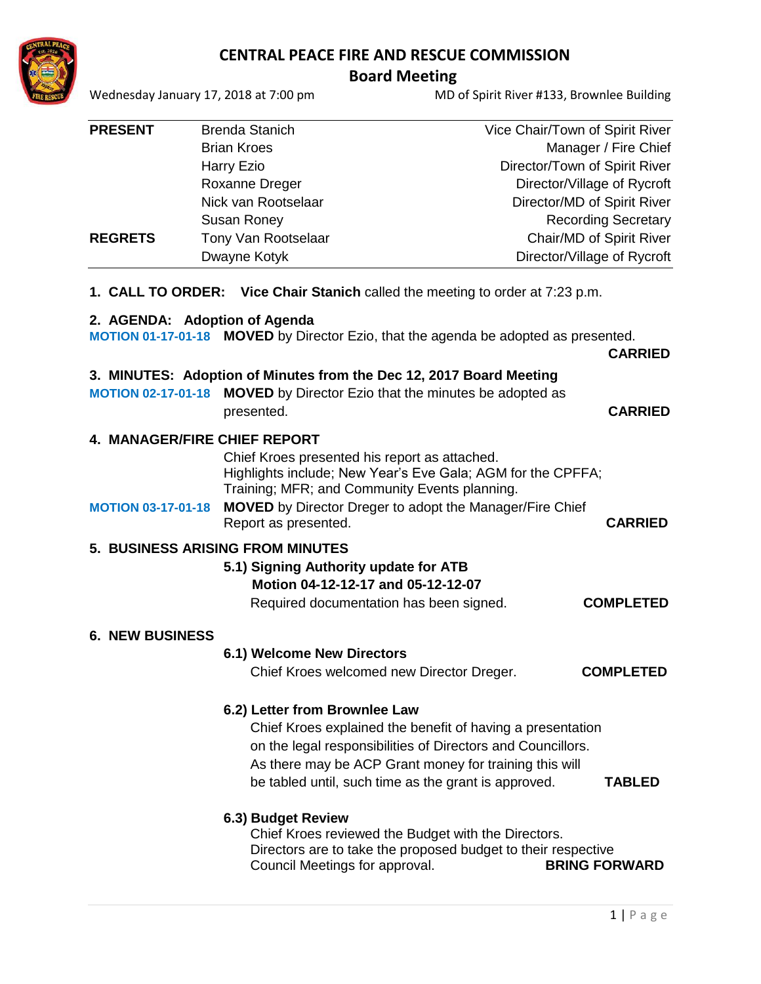

## **CENTRAL PEACE FIRE AND RESCUE COMMISSION**

**Board Meeting**<br>MD (Wednesday January 17, 2018 at 7:00 pm

MD of Spirit River #133, Brownlee Building

| <b>PRESENT</b>                | <b>Brenda Stanich</b>                                               | Vice Chair/Town of Spirit River                                                                       |
|-------------------------------|---------------------------------------------------------------------|-------------------------------------------------------------------------------------------------------|
|                               | <b>Brian Kroes</b>                                                  | Manager / Fire Chief                                                                                  |
|                               | <b>Harry Ezio</b>                                                   | Director/Town of Spirit River                                                                         |
|                               | Roxanne Dreger                                                      | Director/Village of Rycroft                                                                           |
|                               | Nick van Rootselaar                                                 | Director/MD of Spirit River                                                                           |
|                               | Susan Roney                                                         | <b>Recording Secretary</b>                                                                            |
| <b>REGRETS</b>                | Tony Van Rootselaar                                                 | Chair/MD of Spirit River                                                                              |
|                               | Dwayne Kotyk                                                        | Director/Village of Rycroft                                                                           |
|                               |                                                                     | <b>1. CALL TO ORDER:</b> Vice Chair Stanich called the meeting to order at 7:23 p.m.                  |
|                               | 2. AGENDA: Adoption of Agenda                                       |                                                                                                       |
|                               |                                                                     | MOTION 01-17-01-18 MOVED by Director Ezio, that the agenda be adopted as presented.<br><b>CARRIED</b> |
|                               | 3. MINUTES: Adoption of Minutes from the Dec 12, 2017 Board Meeting |                                                                                                       |
| <b>MOTION 02-17-01-18</b>     |                                                                     | <b>MOVED</b> by Director Ezio that the minutes be adopted as                                          |
|                               | presented.                                                          | <b>CARRIED</b>                                                                                        |
| 4. MANAGER/FIRE CHIEF REPORT  |                                                                     |                                                                                                       |
|                               | Chief Kroes presented his report as attached.                       |                                                                                                       |
|                               |                                                                     | Highlights include; New Year's Eve Gala; AGM for the CPFFA;                                           |
|                               | Training; MFR; and Community Events planning.                       |                                                                                                       |
| <b>MOTION 03-17-01-18</b>     |                                                                     | <b>MOVED</b> by Director Dreger to adopt the Manager/Fire Chief                                       |
|                               | Report as presented.                                                | <b>CARRIED</b>                                                                                        |
|                               | <b>5. BUSINESS ARISING FROM MINUTES</b>                             |                                                                                                       |
|                               | 5.1) Signing Authority update for ATB                               |                                                                                                       |
|                               | Motion 04-12-12-17 and 05-12-12-07                                  |                                                                                                       |
|                               | Required documentation has been signed.                             | <b>COMPLETED</b>                                                                                      |
|                               |                                                                     |                                                                                                       |
| <b>6. NEW BUSINESS</b>        |                                                                     |                                                                                                       |
|                               | 6.1) Welcome New Directors                                          |                                                                                                       |
|                               | Chief Kroes welcomed new Director Dreger.                           | <b>COMPLETED</b>                                                                                      |
| 6.2) Letter from Brownlee Law |                                                                     |                                                                                                       |
|                               | Chief Kroes explained the benefit of having a presentation          |                                                                                                       |
|                               | on the legal responsibilities of Directors and Councillors.         |                                                                                                       |
|                               |                                                                     | As there may be ACP Grant money for training this will                                                |
|                               |                                                                     | be tabled until, such time as the grant is approved.<br><b>TABLED</b>                                 |
|                               |                                                                     |                                                                                                       |
|                               | 6.3) Budget Review                                                  |                                                                                                       |
|                               |                                                                     | Chief Krope reviewed the Budget with the Directors                                                    |